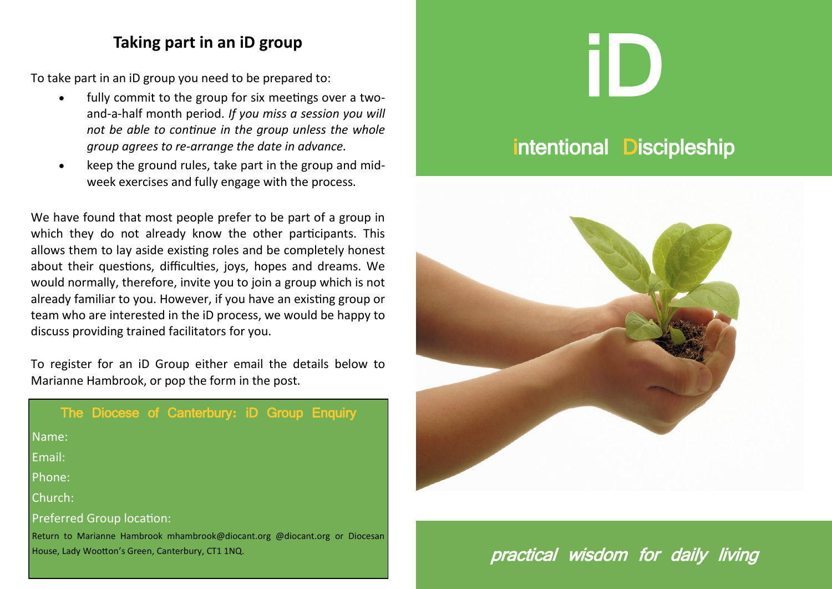### **Taking part in an iD group**

To take part in an iD group you need to be prepared to:

- fully commit to the group for six meetings over a twoand-a-half month period. *If you miss a session you will not be able to continue in the group unless the whole group agrees to re-arrange the date in advance.*
- keep the ground rules, take part in the group and midweek exercises and fully engage with the process.

We have found that most people prefer to be part of a group in which they do not already know the other participants. This allows them to lay aside existing roles and be completely honest about their questions, difficulties, joys, hopes and dreams. We would normally, therefore, invite you to join a group which is not already familiar to you. However, if you have an existing group or team who are interested in the iD process, we would be happy to discuss providing trained facilitators for you.

To register for an iD Group either email the details below to Marianne Hambrook, or pop the form in the post.

|                                  |                                                   |  | The Diocese of Canterbury: iD Group Enquiry                                |  |  |  |
|----------------------------------|---------------------------------------------------|--|----------------------------------------------------------------------------|--|--|--|
| Name:                            |                                                   |  |                                                                            |  |  |  |
| Email:                           |                                                   |  |                                                                            |  |  |  |
| Phone:                           |                                                   |  |                                                                            |  |  |  |
| Church:                          |                                                   |  |                                                                            |  |  |  |
| <b>Preferred Group location:</b> |                                                   |  |                                                                            |  |  |  |
|                                  | House, Lady Wootton's Green, Canterbury, CT1 1NQ. |  | Return to Marianne Hambrook mhambrook@diocant.org @diocant.org or Diocesan |  |  |  |

# iD

# intentional Discipleship



practical wisdom for daily living